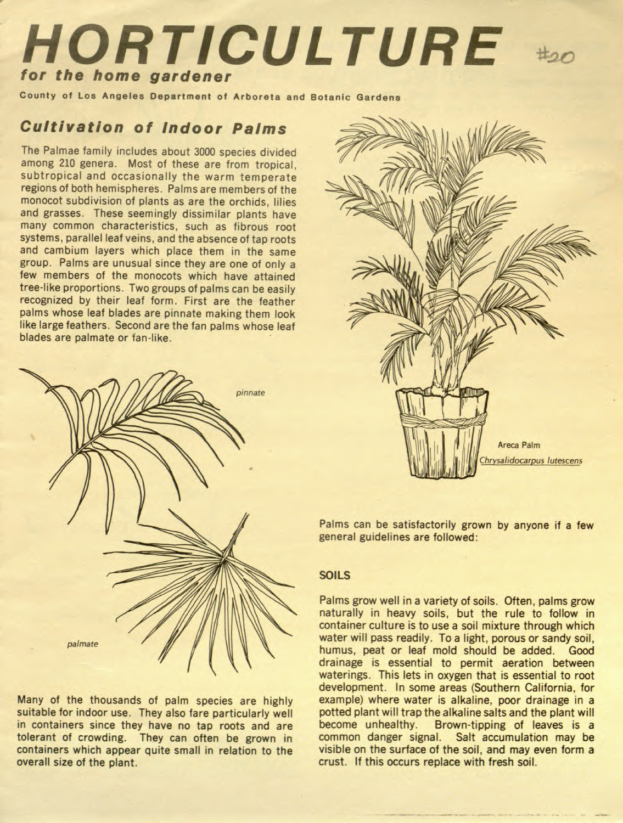# for HORTICULTURE the home gardener

County of Los Angeles Department of Arboreta and Botanic Gardens

### Cultivation of Indoor Palms

The Palmae family includes about 3000 species divided among <sup>210</sup> genera. Most of these are from tropical, subtropical and occasionally the warm temperate regions of both hemispheres. Palms are members of the monocot subdivision of plants as are the orchids, lilies and grasses. These seemingly dissimilar plants have many common characteristics, such as fibrous root systems, parallel leaf veins, and the absence of tap roots and cambium layers which place them in the same group. Palms are unusual since they are one of only <sup>a</sup> few members of the monocots which have attained tree-like proportions. Two groups of palms can be easily recognized by their leaf form. First are the feather palms whose leaf blades are pinnate making them look like large feathers. Second are the fan palms whose leaf blades are palmate or fan-like.

Many of the thousands of palm species are highly suitable for indoor use. They also fare particularly well in containers since they have no tap roots and are tolerant of crowding. They can often be grown in containers which appear quite small in relation to the overall size of the plant.





pinnate



Palms can be satisfactorily grown by anyone if a few general guidelines are followed:

#### SOILS

Palms grow well in a variety of soils. Often, palms grow naturally in heavy soils, but the rule to follow in container culture is to use a soil mixture through which water will pass readily. To a light, porous or sandy soil, humus, peat or leaf mold should be added. Good drainage is essential to permit aeration between waterings. This lets in oxygen that is essential to root development. In some areas (Southern California, for example) where water is alkaline, poor drainage in a potted plant will trap the alkaline salts and the plant will become unhealthy. Brown-tipping of leaves is a common danger signal. Salt accumulation may be visible on the surface of the soil, and may even form a crust. If this occurs replace with fresh soil.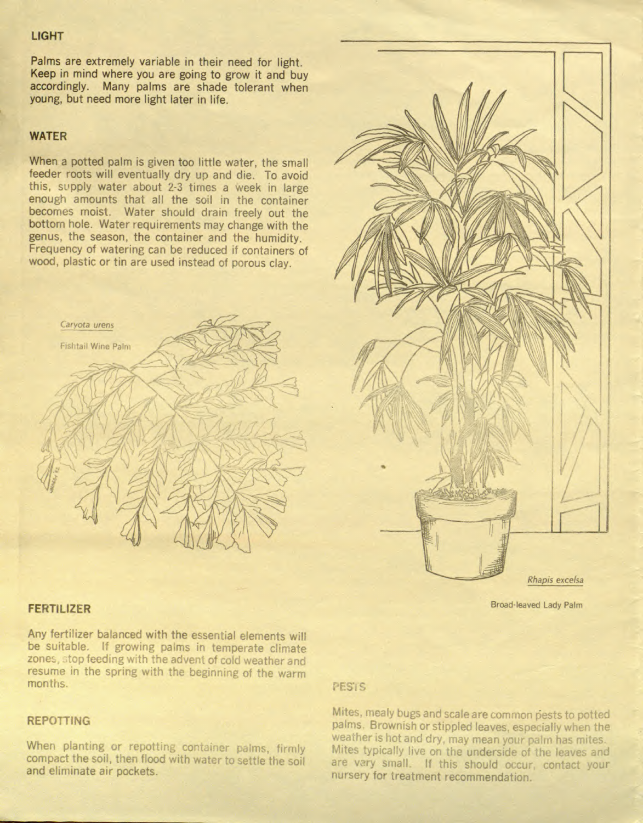#### LIGHT

Palms are extremely variable in their need for light. Keep in mind where you are going to grow it and buy accordingly. Many palms are shade tolerant when young, but need more light later in life.

#### WATER

When a potted palm is given too little water, the small feeder roots will eventually dry up and die. To avoid this, supply water about 2-3 times a week in large enough amounts that all the soil in the container



When planting or repotting container palms, firmly compact the soil, then flood with water to settle the soil and eliminate air pockets.

becomes moist. Water should drain freely out the bottom hole. Water requirements may change with the genus, the season, the container and the humidity. Frequency of watering can be reduced if containers of wood, plastic or tin are used instead of porous clay.

Caryota urens

Fishtail Wine Palm



Any fertilizer balanced with the essential elements will be suitable. If growing palms in temperate climate zones, stop feeding with the advent of cold weather and resume in the spring with the beginning of the warm months.

#### REPOTTING

#### PESiS

Mites, mealy bugs and scale are common pests to potted palms. Brownish or stippled leaves, especially when the weather is fiot and dry, may mean your palm has mites. Mites typically live on the underside of the leaves and are vary small. If this should occur, contact your nursery for treatment recommendation.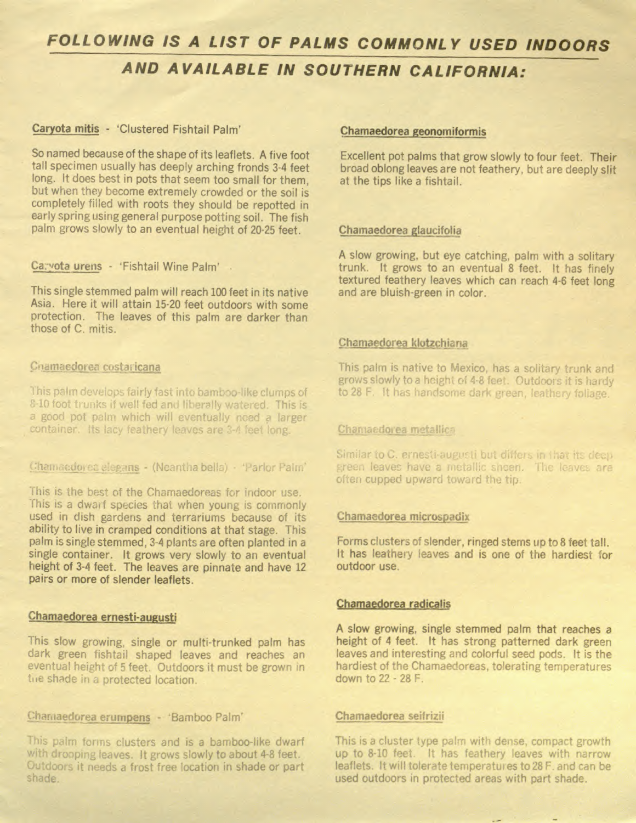## FOLLOWING iS A LIST OF PALMS COMMONLY USED INDOORS

### AND AVAILABLE IN SOUTHERN CALIFORNIA:

#### Caryota mitis - 'Clustered Fishtail Palm'

So named because of the shape of its leaflets. A five foot tall specimen usually has deeply arching fronds 3-4 feet long, it does best in pots that seem too small for them, but when they become extremely crowded or the soil is completely filled with roots they should be repotted in early spring using general purpose potting soil. The fish palm grows slowly to an eventual height of 20-25 feet.

Ca: vota urens - 'Fishtail Wine Palm'

This single stemmed palm will reach 100 feet in its native Asia. Here it will attain 15-20 feet outdoors with some protection. The leaves of this palm are darker than those of C. mitis.

Chamaedorea costaricana

This palm develops fairly fast into bamboo-like clumps of 8-10 foot trunks if well fed and liberally watered. This is

This is the best of the Chamaedoreas for indoor use. This is a dwarf species that when young is commonly used in dish gardens and terrariums because of its ability to live in cramped conditions at that stage. This palm is single stemmed, 3-4 plants are often planted in a single container. It grows very slowly to an eventual height of 3-4 feet. The leaves are pinnate and have 12 pairs or more of slender leaflets.

#### Chamaedorea geonomiformis

This slow growing, single or multi-trunked palm has dark green fishtail shaped leaves and reaches an eventual height of <sup>5</sup> feet. Outdoors it must be grown in the shade in a protected location.

### Chamaedorea erumpens - 'Bamboo Palm' Chamaedorea seifrizii

This palm forms clusters and is a bamboo-like dwarf This is a cluster type palm with dense, compact growth with dropping leaves. It grows slowly to about 4-8 feet. up to 8-10 feet. It has feathery leaves with narrow Outdoors it needs a frost free location in shade or part leaflets. It will tolerate temperatures to 28 F. and can be shade.

Excellent pot palms that grow slowly to four feet. Their broad oblong leaves are not feathery, but are deeply slit at the tips like a fishtail.

#### Chamaedorea glaucifolia

A slow growing, but eye catching, palm with <sup>a</sup> solitary trunk. It grows to an eventual 8 feet. It has finely textured feathery leaves which can reach 4-6 feet long and are bluish-green in color.

#### Chamaedorea klotzchiana

This palm is native to Mexico, has a solitary trunk and grows slowly to a height of 4-8 feet. Outdoors it is hardy to 28 F. It has handsome dark green, leathery foliage.

a good pot palm which will eventually noed a larger container. Its lacy feathery leaves are 3-4 feet long.

Chamacdores elegans - (Neantha bella) - 'Parlor Palm'

Forms clusters of slender, ringed stems up to 8 feet tall. It has leathery leaves and is one of the hardiest for outdoor use.

Chamaedorea radicalis

Chamaedorea ernesti-augusti

#### Chamaedorea metallica

Similar to C. ernesti-augusti but differs in that its deep green leaves have a metallic sheen. The leaves are often cupped upward toward the tip.

Chamaedorea microspadix

A slow growing, single stemmed palm that reaches a height of 4 feet. It has strong patterned dark green leaves and interesting and colorful seed pods. It is the hardiest of the Chamaedoreas, tolerating temperatures down to 22 - 28 F.

used outdoors in protected areas with part shade.